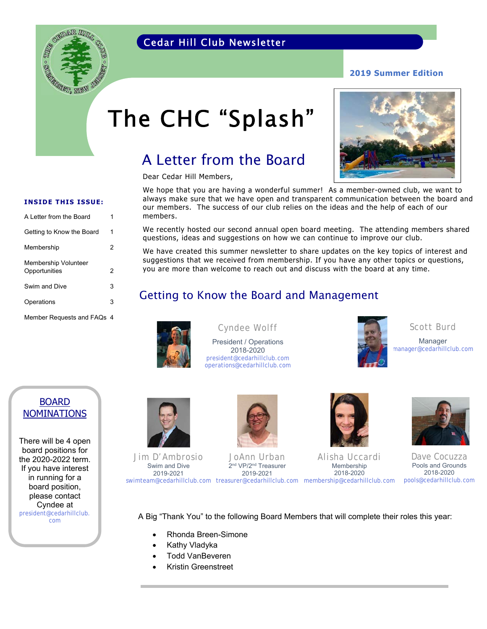### Cedar Hill Club Newsletter



# The CHC "Splash"

### A Letter from the Board

Dear Cedar Hill Members,



VET MEW

Getting to Know the Board 1 Membership 2 Membership Volunteer Opportunities 2 Swim and Dive 3 Operations 3 Member Requests and FAQs 4

We hope that you are having a wonderful summer! As a member-owned club, we want to always make sure that we have open and transparent communication between the board and our members. The success of our club relies on the ideas and the help of each of our members.

We recently hosted our second annual open board meeting. The attending members shared questions, ideas and suggestions on how we can continue to improve our club.

We have created this summer newsletter to share updates on the key topics of interest and suggestions that we received from membership. If you have any other topics or questions, you are more than welcome to reach out and discuss with the board at any time.

### Getting to Know the Board and Management



#### Cyndee Wolff

President / Operations 2018-2020 president@cedarhillclub.com operations@cedarhillclub.com



Scott Burd

Manager manager@cedarhillclub.com

#### BOARD NOMINATIONS

There will be 4 open board positions for the 2020-2022 term. If you have interest in running for a board position, please contact Cyndee at president@cedarhillclub. com



Jim D'Ambrosio Swim and Dive 2019-2021



JoAnn Urban 2<sup>nd</sup> VP/2<sup>nd</sup> Treasurer 2019-2021

swimteam@cedarhillclub.com treasurer@cedarhillclub.com membership@cedarhillclub.com Membership 2018-2020

Alisha Uccardi



Dave Cocuzza Pools and Grounds 2018-2020 pools@cedarhillclub.com

A Big "Thank You" to the following Board Members that will complete their roles this year:

- Rhonda Breen-Simone
- Kathy Vladyka
- Todd VanBeveren
- Kristin Greenstreet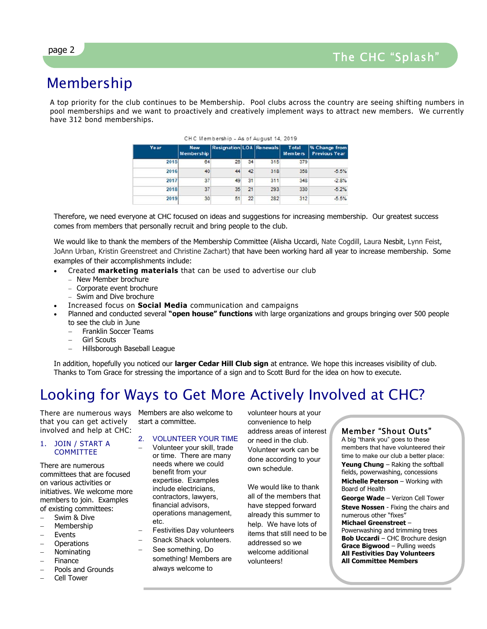## Membership

A top priority for the club continues to be Membership. Pool clubs across the country are seeing shifting numbers in pool memberships and we want to proactively and creatively implement ways to attract new members. We currently have 312 bond memberships.

| Year | <b>New</b><br><b>Membership</b> | <b>Resignation LOA Renewals</b> |    |     | Total<br>Members | % Change from<br><b>Previous Year</b> |
|------|---------------------------------|---------------------------------|----|-----|------------------|---------------------------------------|
| 2015 | 64                              | 26                              | 34 | 315 | 379              |                                       |
| 2016 | 40                              | 44                              | 42 | 318 | 358              | $-5.5%$                               |
| 2017 | 37                              | 49                              | 31 | 311 | 348              | $-2.8%$                               |
| 2018 | 37                              | 35                              | 21 | 293 | 330              | $-5.2%$                               |
| 2019 | 30                              | 51                              | 22 | 282 | 312              | $-5.5%$                               |

|  |  | CHC Membership - As of August 14, 2019 |  |  |  |  |  |  |
|--|--|----------------------------------------|--|--|--|--|--|--|
|--|--|----------------------------------------|--|--|--|--|--|--|

Therefore, we need everyone at CHC focused on ideas and suggestions for increasing membership. Our greatest success comes from members that personally recruit and bring people to the club.

We would like to thank the members of the Membership Committee (Alisha Uccardi, Nate Cogdill, Laura Nesbit, Lynn Feist, JoAnn Urban, Kristin Greenstreet and Christine Zachart) that have been working hard all year to increase membership. Some examples of their accomplishments include:

- Created **marketing materials** that can be used to advertise our club
	- New Member brochure
	- Corporate event brochure
	- Swim and Dive brochure
- Increased focus on **Social Media** communication and campaigns
- Planned and conducted several **"open house" functions** with large organizations and groups bringing over 500 people to see the club in June
	- Franklin Soccer Teams
	- Girl Scouts
	- Hillsborough Baseball League

In addition, hopefully you noticed our **larger Cedar Hill Club sign** at entrance. We hope this increases visibility of club. Thanks to Tom Grace for stressing the importance of a sign and to Scott Burd for the idea on how to execute.

### Looking for Ways to Get More Actively Involved at CHC?

There are numerous ways Members are also welcome to that you can get actively involved and help at CHC:

#### 1. JOIN / START A COMMITTEE

There are numerous committees that are focused on various activities or initiatives. We welcome more members to join. Examples of existing committees:

- Swim & Dive
- Membership
- Events
- **Operations** Nominating
- Finance
- Pools and Grounds
- Cell Tower

start a committee.

#### 2. VOLUNTEER YOUR TIME

- Volunteer your skill, trade or time. There are many needs where we could benefit from your expertise. Examples include electricians, contractors, lawyers, financial advisors, operations management, etc.
- Festivities Day volunteers
- Snack Shack volunteers.
- See something, Do
	- something! Members are always welcome to

volunteer hours at your convenience to help address areas of interest or need in the club. Volunteer work can be done according to your own schedule.

We would like to thank all of the members that have stepped forward already this summer to help. We have lots of items that still need to be addressed so we welcome additional volunteers!

#### Member "Shout Outs"

A big "thank you" goes to these members that have volunteered their time to make our club a better place: **Yeung Chung** – Raking the softball fields, powerwashing, concessions **Michelle Peterson** – Working with Board of Health

**George Wade** – Verizon Cell Tower **Steve Nossen** - Fixing the chairs and numerous other "fixes" **Michael Greenstreet** – Powerwashing and trimming trees **Bob Uccardi** – CHC Brochure design **Grace Bigwood** – Pulling weeds **All Festivities Day Volunteers All Committee Members**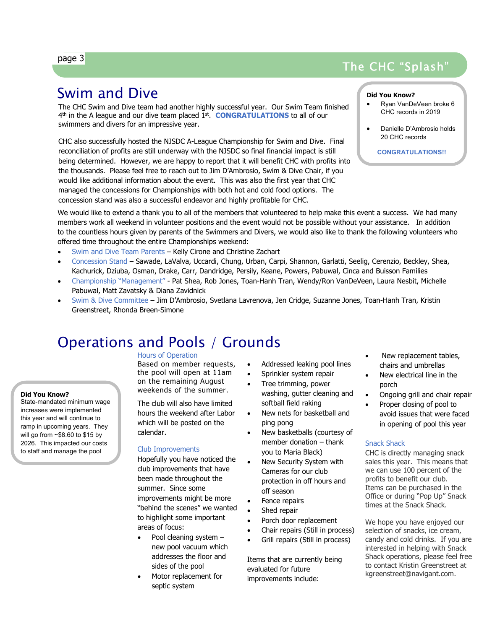### page 3

### The CHC "Splash"

### Swim and Dive

i<br>I

The CHC Swim and Dive team had another highly successful year. Our Swim Team finished 4th in the A league and our dive team placed 1st. **CONGRATULATIONS** to all of our swimmers and divers for an impressive year.

CHC also successfully hosted the NJSDC A-League Championship for Swim and Dive. Final reconciliation of profits are still underway with the NJSDC so final financial impact is still being determined. However, we are happy to report that it will benefit CHC with profits into the thousands. Please feel free to reach out to Jim D'Ambrosio, Swim & Dive Chair, if you would like additional information about the event. This was also the first year that CHC managed the concessions for Championships with both hot and cold food options. The concession stand was also a successful endeavor and highly profitable for CHC.

#### **Did You Know?**

- Ryan VanDeVeen broke 6 CHC records in 2019
- Danielle D'Ambrosio holds 20 CHC records

**CONGRATULATIONS!!**

We would like to extend a thank you to all of the members that volunteered to help make this event a success. We had many members work all weekend in volunteer positions and the event would not be possible without your assistance. In addition to the countless hours given by parents of the Swimmers and Divers, we would also like to thank the following volunteers who offered time throughout the entire Championships weekend:

- Swim and Dive Team Parents Kelly Cirone and Christine Zachart
- Concession Stand Sawade, LaValva, Uccardi, Chung, Urban, Carpi, Shannon, Garlatti, Seelig, Cerenzio, Beckley, Shea, Kachurick, Dziuba, Osman, Drake, Carr, Dandridge, Persily, Keane, Powers, Pabuwal, Cinca and Buisson Families
- Championship "Management" Pat Shea, Rob Jones, Toan-Hanh Tran, Wendy/Ron VanDeVeen, Laura Nesbit, Michelle Pabuwal, Matt Zavatsky & Diana Zavidnick
- Swim & Dive Committee Jim D'Ambrosio, Svetlana Lavrenova, Jen Cridge, Suzanne Jones, Toan-Hanh Tran, Kristin Greenstreet, Rhonda Breen-Simone

### Operations and Pools / Grounds

#### Hours of Operation

Based on member requests, the pool will open at 11am on the remaining August weekends of the summer.

The club will also have limited hours the weekend after Labor which will be posted on the calendar.

#### Club Improvements

Hopefully you have noticed the club improvements that have been made throughout the summer. Since some improvements might be more "behind the scenes" we wanted to highlight some important areas of focus:

- Pool cleaning system new pool vacuum which addresses the floor and sides of the pool
- Motor replacement for septic system
- Addressed leaking pool lines
- Sprinkler system repair
- Tree trimming, power washing, gutter cleaning and softball field raking
- New nets for basketball and ping pong
- New basketballs (courtesy of member donation – thank you to Maria Black)
- New Security System with Cameras for our club protection in off hours and off season
- Fence repairs Shed repair
	- Porch door replacement
	- Chair repairs (Still in process)
	- Grill repairs (Still in process)

Items that are currently being evaluated for future improvements include:

- New replacement tables, chairs and umbrellas
- New electrical line in the porch
- Ongoing grill and chair repair
	- Proper closing of pool to avoid issues that were faced in opening of pool this year

#### Snack Shack

CHC is directly managing snack sales this year. This means that we can use 100 percent of the profits to benefit our club. Items can be purchased in the Office or during "Pop Up" Snack times at the Snack Shack.

We hope you have enjoyed our selection of snacks, ice cream, candy and cold drinks. If you are interested in helping with Snack Shack operations, please feel free to contact Kristin Greenstreet at kgreenstreet@navigant.com.

#### **Did You Know?**

State-mandated minimum wage increases were implemented this year and will continue to ramp in upcoming years. They will go from ~\$8.60 to \$15 by 2026. This impacted our costs to staff and manage the pool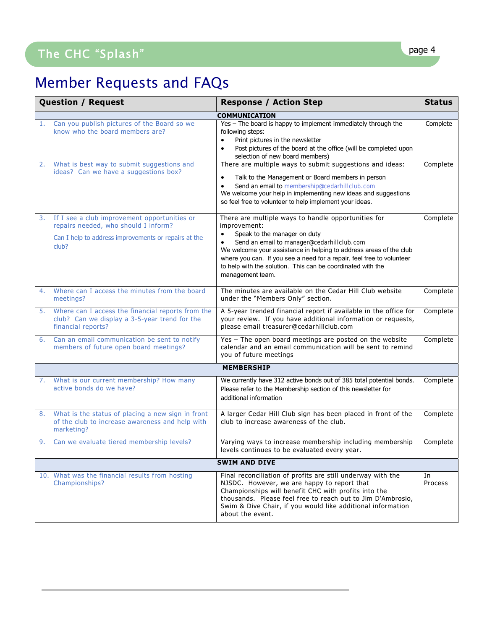## The CHC "Splash" and the CHC "Splash" and the contract of the contract of the contract of the contract of the contract of the contract of the contract of the contract of the contract of the contract of the contract of the

j

## Member Requests and FAQs

|    | <b>Question / Request</b>                                                                                                                             | <b>Response / Action Step</b>                                                                                                                                                                                                                                                                                                                                                                    | <b>Status</b> |  |  |  |  |  |
|----|-------------------------------------------------------------------------------------------------------------------------------------------------------|--------------------------------------------------------------------------------------------------------------------------------------------------------------------------------------------------------------------------------------------------------------------------------------------------------------------------------------------------------------------------------------------------|---------------|--|--|--|--|--|
|    | <b>COMMUNICATION</b>                                                                                                                                  |                                                                                                                                                                                                                                                                                                                                                                                                  |               |  |  |  |  |  |
| 1. | Can you publish pictures of the Board so we<br>know who the board members are?                                                                        | Yes - The board is happy to implement immediately through the<br>following steps:<br>Print pictures in the newsletter<br>$\bullet$<br>Post pictures of the board at the office (will be completed upon<br>$\bullet$<br>selection of new board members)                                                                                                                                           | Complete      |  |  |  |  |  |
| 2. | What is best way to submit suggestions and<br>ideas? Can we have a suggestions box?                                                                   | There are multiple ways to submit suggestions and ideas:<br>Talk to the Management or Board members in person<br>$\bullet$<br>Send an email to membership@cedarhillclub.com<br>We welcome your help in implementing new ideas and suggestions<br>so feel free to volunteer to help implement your ideas.                                                                                         | Complete      |  |  |  |  |  |
| 3. | If I see a club improvement opportunities or<br>repairs needed, who should I inform?<br>Can I help to address improvements or repairs at the<br>club? | There are multiple ways to handle opportunities for<br>improvement:<br>Speak to the manager on duty<br>$\bullet$<br>Send an email to manager@cedarhillclub.com<br>We welcome your assistance in helping to address areas of the club<br>where you can. If you see a need for a repair, feel free to volunteer<br>to help with the solution. This can be coordinated with the<br>management team. | Complete      |  |  |  |  |  |
| 4. | Where can I access the minutes from the board<br>meetings?                                                                                            | The minutes are available on the Cedar Hill Club website<br>under the "Members Only" section.                                                                                                                                                                                                                                                                                                    | Complete      |  |  |  |  |  |
|    | 5. Where can I access the financial reports from the<br>club? Can we display a 3-5-year trend for the<br>financial reports?                           | A 5-year trended financial report if available in the office for<br>your review. If you have additional information or requests,<br>please email treasurer@cedarhillclub.com                                                                                                                                                                                                                     | Complete      |  |  |  |  |  |
| 6. | Can an email communication be sent to notify<br>members of future open board meetings?                                                                | Yes - The open board meetings are posted on the website<br>calendar and an email communication will be sent to remind<br>you of future meetings                                                                                                                                                                                                                                                  | Complete      |  |  |  |  |  |
|    | <b>MEMBERSHIP</b>                                                                                                                                     |                                                                                                                                                                                                                                                                                                                                                                                                  |               |  |  |  |  |  |
|    | 7. What is our current membership? How many<br>active bonds do we have?                                                                               | We currently have 312 active bonds out of 385 total potential bonds.<br>Please refer to the Membership section of this newsletter for<br>additional information                                                                                                                                                                                                                                  | Complete      |  |  |  |  |  |
| 8. | What is the status of placing a new sign in front<br>of the club to increase awareness and help with<br>marketing?                                    | A larger Cedar Hill Club sign has been placed in front of the<br>club to increase awareness of the club.                                                                                                                                                                                                                                                                                         | Complete      |  |  |  |  |  |
| 9. | Can we evaluate tiered membership levels?                                                                                                             | Varying ways to increase membership including membership<br>levels continues to be evaluated every year.                                                                                                                                                                                                                                                                                         | Complete      |  |  |  |  |  |
|    | <b>SWIM AND DIVE</b>                                                                                                                                  |                                                                                                                                                                                                                                                                                                                                                                                                  |               |  |  |  |  |  |
|    | 10. What was the financial results from hosting<br>Championships?                                                                                     | Final reconciliation of profits are still underway with the<br>NJSDC. However, we are happy to report that<br>Championships will benefit CHC with profits into the<br>thousands. Please feel free to reach out to Jim D'Ambrosio,<br>Swim & Dive Chair, if you would like additional information<br>about the event.                                                                             | In<br>Process |  |  |  |  |  |